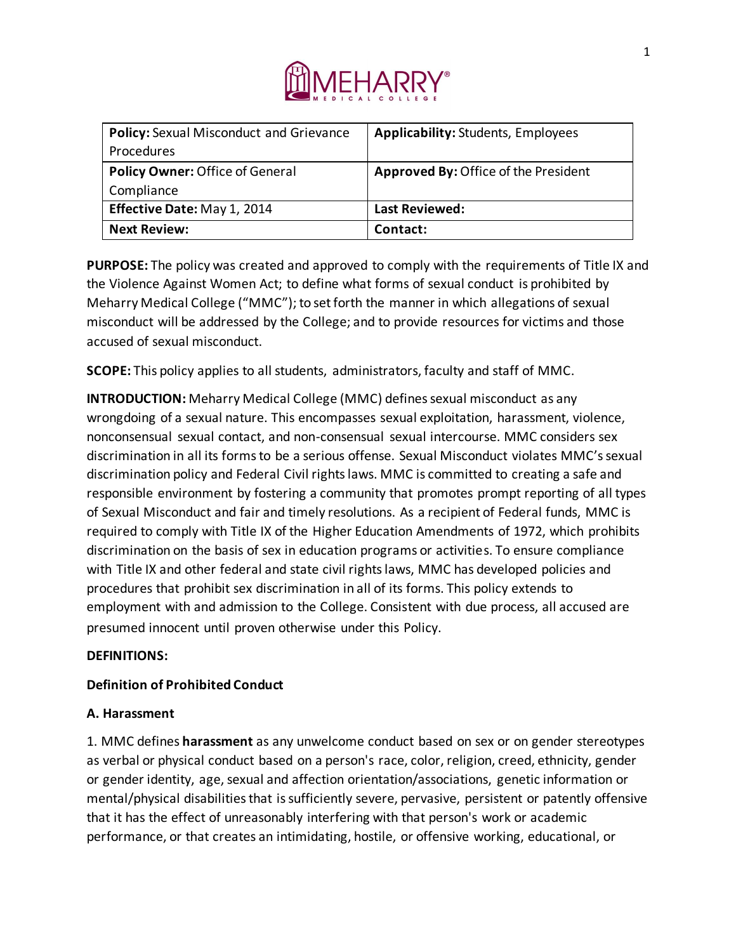

| <b>Policy:</b> Sexual Misconduct and Grievance | <b>Applicability: Students, Employees</b>   |
|------------------------------------------------|---------------------------------------------|
| <b>Procedures</b>                              |                                             |
| Policy Owner: Office of General                | <b>Approved By: Office of the President</b> |
| Compliance                                     |                                             |
| Effective Date: May 1, 2014                    | <b>Last Reviewed:</b>                       |
| <b>Next Review:</b>                            | Contact:                                    |

**PURPOSE:** The policy was created and approved to comply with the requirements of Title IX and the Violence Against Women Act; to define what forms of sexual conduct is prohibited by Meharry Medical College ("MMC"); to set forth the manner in which allegations of sexual misconduct will be addressed by the College; and to provide resources for victims and those accused of sexual misconduct.

**SCOPE:** This policy applies to all students, administrators, faculty and staff of MMC.

**INTRODUCTION:** Meharry Medical College (MMC) defines sexual misconduct as any wrongdoing of a sexual nature. This encompasses sexual exploitation, harassment, violence, nonconsensual sexual contact, and non-consensual sexual intercourse. MMC considers sex discrimination in all its forms to be a serious offense. Sexual Misconduct violates MMC's sexual discrimination policy and Federal Civil rights laws. MMC is committed to creating a safe and responsible environment by fostering a community that promotes prompt reporting of all types of Sexual Misconduct and fair and timely resolutions. As a recipient of Federal funds, MMC is required to comply with Title IX of the Higher Education Amendments of 1972, which prohibits discrimination on the basis of sex in education programs or activities. To ensure compliance with Title IX and other federal and state civil rights laws, MMC has developed policies and procedures that prohibit sex discrimination in all of its forms. This policy extends to employment with and admission to the College. Consistent with due process, all accused are presumed innocent until proven otherwise under this Policy.

### **DEFINITIONS:**

# **Definition of Prohibited Conduct**

### **A. Harassment**

1. MMC defines **harassment** as any unwelcome conduct based on sex or on gender stereotypes as verbal or physical conduct based on a person's race, color, religion, creed, ethnicity, gender or gender identity, age, sexual and affection orientation/associations, genetic information or mental/physical disabilities that is sufficiently severe, pervasive, persistent or patently offensive that it has the effect of unreasonably interfering with that person's work or academic performance, or that creates an intimidating, hostile, or offensive working, educational, or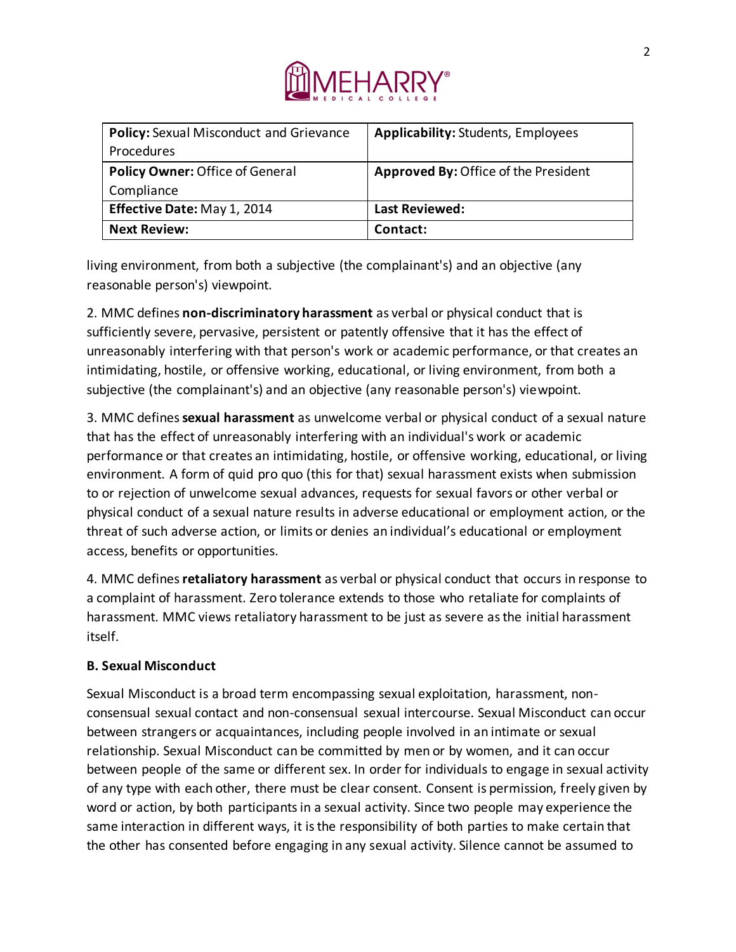

| Policy: Sexual Misconduct and Grievance | <b>Applicability: Students, Employees</b> |
|-----------------------------------------|-------------------------------------------|
| <b>Procedures</b>                       |                                           |
| Policy Owner: Office of General         | Approved By: Office of the President      |
| Compliance                              |                                           |
| Effective Date: May 1, 2014             | <b>Last Reviewed:</b>                     |
| <b>Next Review:</b>                     | Contact:                                  |

living environment, from both a subjective (the complainant's) and an objective (any reasonable person's) viewpoint.

2. MMC defines **non-discriminatory harassment** as verbal or physical conduct that is sufficiently severe, pervasive, persistent or patently offensive that it has the effect of unreasonably interfering with that person's work or academic performance, or that creates an intimidating, hostile, or offensive working, educational, or living environment, from both a subjective (the complainant's) and an objective (any reasonable person's) viewpoint.

3. MMC defines **sexual harassment** as unwelcome verbal or physical conduct of a sexual nature that has the effect of unreasonably interfering with an individual's work or academic performance or that creates an intimidating, hostile, or offensive working, educational, or living environment. A form of quid pro quo (this for that) sexual harassment exists when submission to or rejection of unwelcome sexual advances, requests for sexual favors or other verbal or physical conduct of a sexual nature results in adverse educational or employment action, or the threat of such adverse action, or limits or denies an individual's educational or employment access, benefits or opportunities.

4. MMC defines **retaliatory harassment** as verbal or physical conduct that occurs in response to a complaint of harassment. Zero tolerance extends to those who retaliate for complaints of harassment. MMC views retaliatory harassment to be just as severe as the initial harassment itself.

### **B. Sexual Misconduct**

Sexual Misconduct is a broad term encompassing sexual exploitation, harassment, nonconsensual sexual contact and non-consensual sexual intercourse. Sexual Misconduct can occur between strangers or acquaintances, including people involved in an intimate or sexual relationship. Sexual Misconduct can be committed by men or by women, and it can occur between people of the same or different sex. In order for individuals to engage in sexual activity of any type with each other, there must be clear consent. Consent is permission, freely given by word or action, by both participants in a sexual activity. Since two people may experience the same interaction in different ways, it is the responsibility of both parties to make certain that the other has consented before engaging in any sexual activity. Silence cannot be assumed to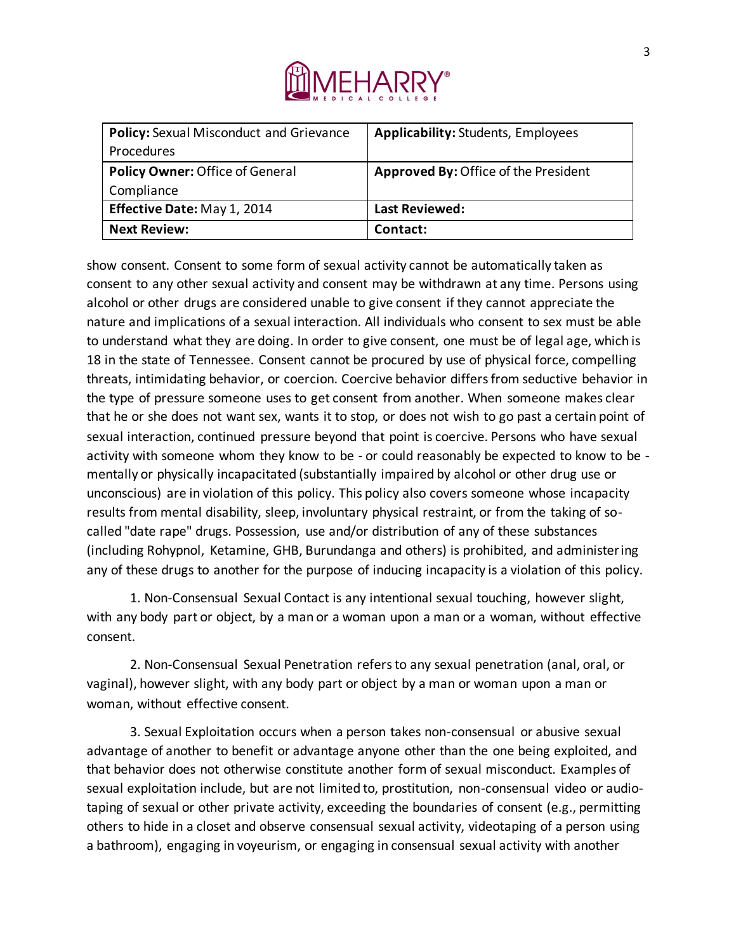

| Policy: Sexual Misconduct and Grievance | <b>Applicability: Students, Employees</b> |
|-----------------------------------------|-------------------------------------------|
| <b>Procedures</b>                       |                                           |
| <b>Policy Owner: Office of General</b>  | Approved By: Office of the President      |
| Compliance                              |                                           |
| Effective Date: May 1, 2014             | <b>Last Reviewed:</b>                     |
| <b>Next Review:</b>                     | Contact:                                  |

show consent. Consent to some form of sexual activity cannot be automatically taken as consent to any other sexual activity and consent may be withdrawn at any time. Persons using alcohol or other drugs are considered unable to give consent if they cannot appreciate the nature and implications of a sexual interaction. All individuals who consent to sex must be able to understand what they are doing. In order to give consent, one must be of legal age, which is 18 in the state of Tennessee. Consent cannot be procured by use of physical force, compelling threats, intimidating behavior, or coercion. Coercive behavior differs from seductive behavior in the type of pressure someone uses to get consent from another. When someone makes clear that he or she does not want sex, wants it to stop, or does not wish to go past a certain point of sexual interaction, continued pressure beyond that point is coercive. Persons who have sexual activity with someone whom they know to be - or could reasonably be expected to know to be mentally or physically incapacitated (substantially impaired by alcohol or other drug use or unconscious) are in violation of this policy. This policy also covers someone whose incapacity results from mental disability, sleep, involuntary physical restraint, or from the taking of socalled "date rape" drugs. Possession, use and/or distribution of any of these substances (including Rohypnol, Ketamine, GHB, Burundanga and others) is prohibited, and administering any of these drugs to another for the purpose of inducing incapacity is a violation of this policy.

1. Non-Consensual Sexual Contact is any intentional sexual touching, however slight, with any body part or object, by a man or a woman upon a man or a woman, without effective consent.

2. Non-Consensual Sexual Penetration refers to any sexual penetration (anal, oral, or vaginal), however slight, with any body part or object by a man or woman upon a man or woman, without effective consent.

3. Sexual Exploitation occurs when a person takes non-consensual or abusive sexual advantage of another to benefit or advantage anyone other than the one being exploited, and that behavior does not otherwise constitute another form of sexual misconduct. Examples of sexual exploitation include, but are not limited to, prostitution, non-consensual video or audiotaping of sexual or other private activity, exceeding the boundaries of consent (e.g., permitting others to hide in a closet and observe consensual sexual activity, videotaping of a person using a bathroom), engaging in voyeurism, or engaging in consensual sexual activity with another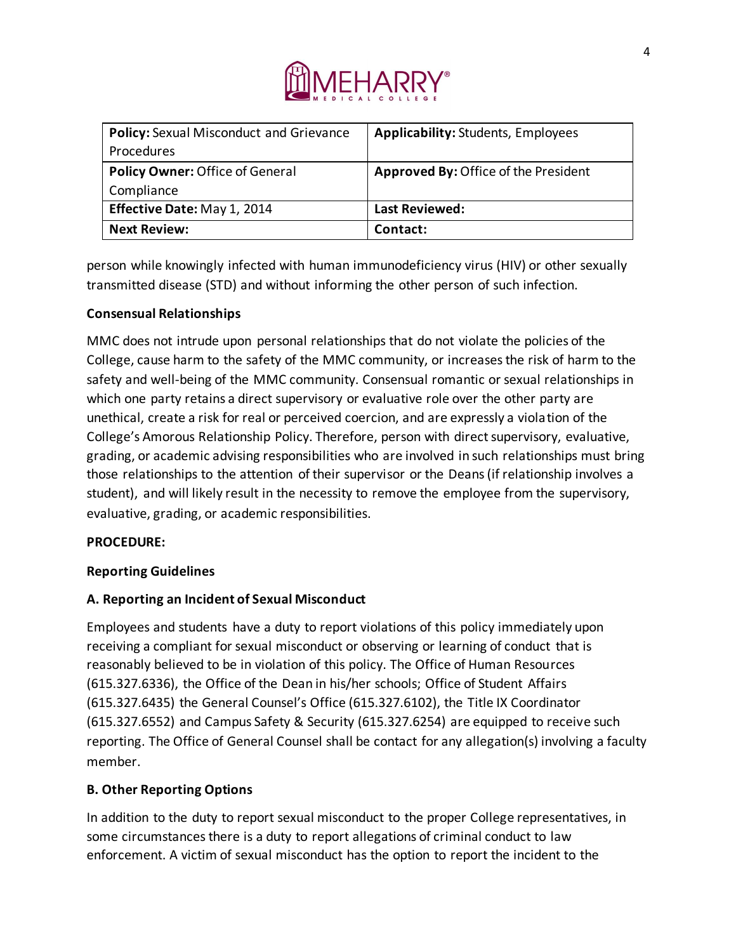

| Policy: Sexual Misconduct and Grievance | <b>Applicability: Students, Employees</b>   |
|-----------------------------------------|---------------------------------------------|
| <b>Procedures</b>                       |                                             |
| Policy Owner: Office of General         | <b>Approved By: Office of the President</b> |
| Compliance                              |                                             |
| Effective Date: May 1, 2014             | <b>Last Reviewed:</b>                       |
| <b>Next Review:</b>                     | Contact:                                    |

person while knowingly infected with human immunodeficiency virus (HIV) or other sexually transmitted disease (STD) and without informing the other person of such infection.

### **Consensual Relationships**

MMC does not intrude upon personal relationships that do not violate the policies of the College, cause harm to the safety of the MMC community, or increases the risk of harm to the safety and well-being of the MMC community. Consensual romantic or sexual relationships in which one party retains a direct supervisory or evaluative role over the other party are unethical, create a risk for real or perceived coercion, and are expressly a violation of the College's Amorous Relationship Policy. Therefore, person with direct supervisory, evaluative, grading, or academic advising responsibilities who are involved in such relationships must bring those relationships to the attention of their supervisor or the Deans (if relationship involves a student), and will likely result in the necessity to remove the employee from the supervisory, evaluative, grading, or academic responsibilities.

### **PROCEDURE:**

### **Reporting Guidelines**

### **A. Reporting an Incident of Sexual Misconduct**

Employees and students have a duty to report violations of this policy immediately upon receiving a compliant for sexual misconduct or observing or learning of conduct that is reasonably believed to be in violation of this policy. The Office of Human Resources (615.327.6336), the Office of the Dean in his/her schools; Office of Student Affairs (615.327.6435) the General Counsel's Office (615.327.6102), the Title IX Coordinator (615.327.6552) and Campus Safety & Security (615.327.6254) are equipped to receive such reporting. The Office of General Counsel shall be contact for any allegation(s) involving a faculty member.

### **B. Other Reporting Options**

In addition to the duty to report sexual misconduct to the proper College representatives, in some circumstances there is a duty to report allegations of criminal conduct to law enforcement. A victim of sexual misconduct has the option to report the incident to the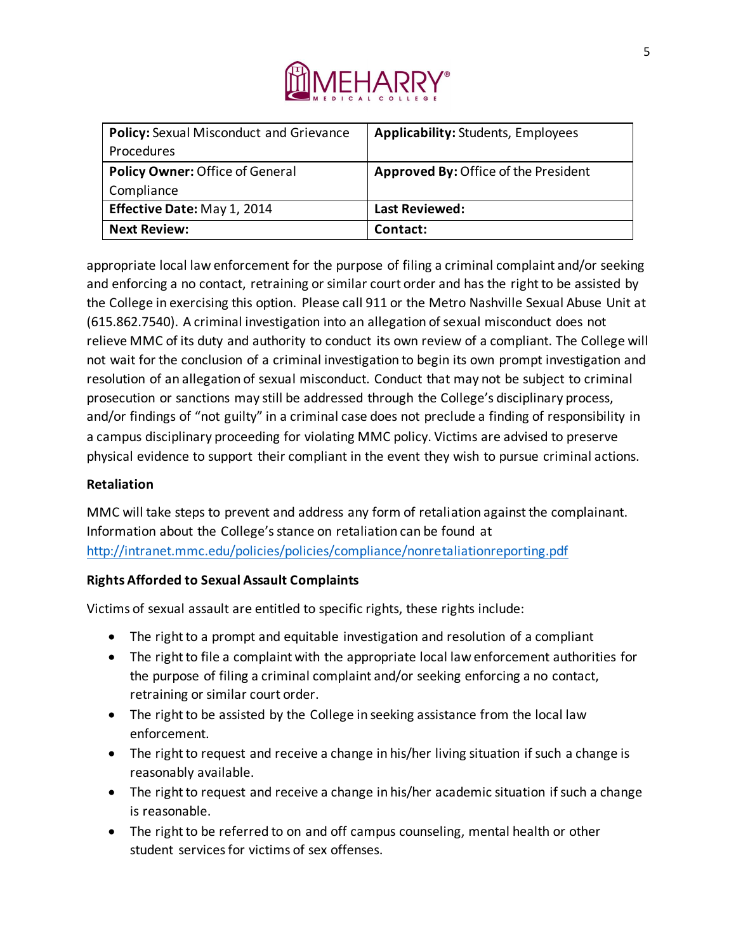

| Policy: Sexual Misconduct and Grievance | <b>Applicability: Students, Employees</b>   |
|-----------------------------------------|---------------------------------------------|
| <b>Procedures</b>                       |                                             |
| Policy Owner: Office of General         | <b>Approved By: Office of the President</b> |
| Compliance                              |                                             |
| Effective Date: May 1, 2014             | <b>Last Reviewed:</b>                       |
| <b>Next Review:</b>                     | Contact:                                    |

appropriate local law enforcement for the purpose of filing a criminal complaint and/or seeking and enforcing a no contact, retraining or similar court order and has the right to be assisted by the College in exercising this option. Please call 911 or the Metro Nashville Sexual Abuse Unit at (615.862.7540). A criminal investigation into an allegation of sexual misconduct does not relieve MMC of its duty and authority to conduct its own review of a compliant. The College will not wait for the conclusion of a criminal investigation to begin its own prompt investigation and resolution of an allegation of sexual misconduct. Conduct that may not be subject to criminal prosecution or sanctions may still be addressed through the College's disciplinary process, and/or findings of "not guilty" in a criminal case does not preclude a finding of responsibility in a campus disciplinary proceeding for violating MMC policy. Victims are advised to preserve physical evidence to support their compliant in the event they wish to pursue criminal actions.

### **Retaliation**

MMC will take steps to prevent and address any form of retaliation against the complainant. Information about the College's stance on retaliation can be found at http://intranet.mmc.edu/policies/policies/compliance/nonretaliationreporting.pdf

### **Rights Afforded to Sexual Assault Complaints**

Victims of sexual assault are entitled to specific rights, these rights include:

- The right to a prompt and equitable investigation and resolution of a compliant
- The right to file a complaint with the appropriate local law enforcement authorities for the purpose of filing a criminal complaint and/or seeking enforcing a no contact, retraining or similar court order.
- The right to be assisted by the College in seeking assistance from the local law enforcement.
- The right to request and receive a change in his/her living situation if such a change is reasonably available.
- The right to request and receive a change in his/her academic situation if such a change is reasonable.
- The right to be referred to on and off campus counseling, mental health or other student services for victims of sex offenses.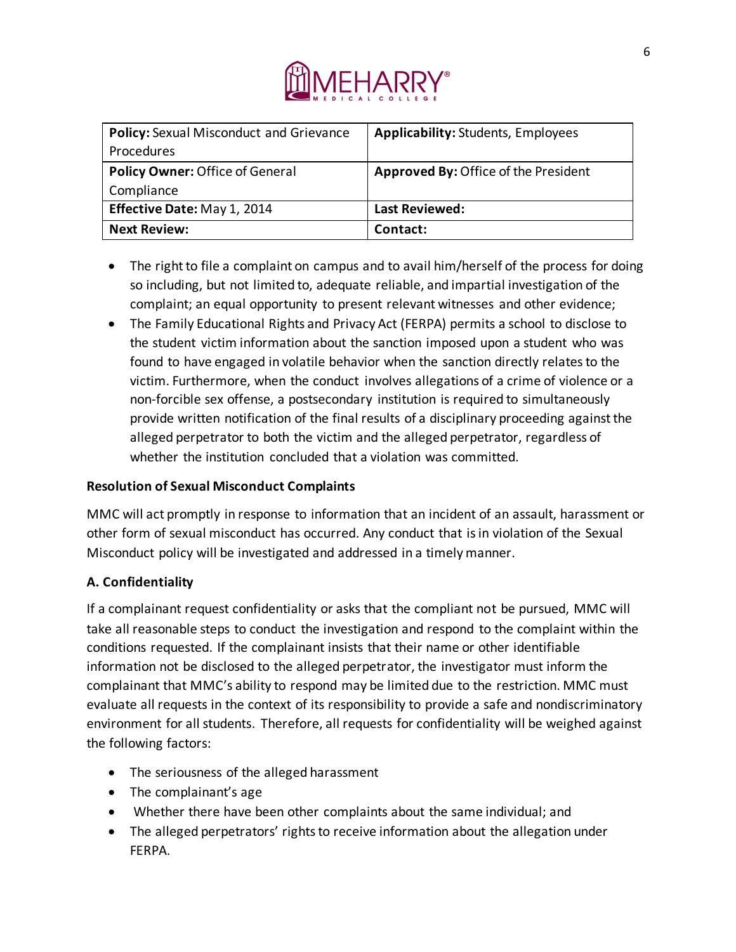

| <b>Policy:</b> Sexual Misconduct and Grievance | <b>Applicability: Students, Employees</b>   |
|------------------------------------------------|---------------------------------------------|
| <b>Procedures</b>                              |                                             |
| <b>Policy Owner: Office of General</b>         | <b>Approved By: Office of the President</b> |
| Compliance                                     |                                             |
| Effective Date: May 1, 2014                    | <b>Last Reviewed:</b>                       |
| <b>Next Review:</b>                            | Contact:                                    |

- The right to file a complaint on campus and to avail him/herself of the process for doing so including, but not limited to, adequate reliable, and impartial investigation of the complaint; an equal opportunity to present relevant witnesses and other evidence;
- The Family Educational Rights and Privacy Act (FERPA) permits a school to disclose to the student victim information about the sanction imposed upon a student who was found to have engaged in volatile behavior when the sanction directly relates to the victim. Furthermore, when the conduct involves allegations of a crime of violence or a non-forcible sex offense, a postsecondary institution is required to simultaneously provide written notification of the final results of a disciplinary proceeding against the alleged perpetrator to both the victim and the alleged perpetrator, regardless of whether the institution concluded that a violation was committed.

### **Resolution of Sexual Misconduct Complaints**

MMC will act promptly in response to information that an incident of an assault, harassment or other form of sexual misconduct has occurred. Any conduct that is in violation of the Sexual Misconduct policy will be investigated and addressed in a timely manner.

# **A. Confidentiality**

If a complainant request confidentiality or asks that the compliant not be pursued, MMC will take all reasonable steps to conduct the investigation and respond to the complaint within the conditions requested. If the complainant insists that their name or other identifiable information not be disclosed to the alleged perpetrator, the investigator must inform the complainant that MMC's ability to respond may be limited due to the restriction. MMC must evaluate all requests in the context of its responsibility to provide a safe and nondiscriminatory environment for all students. Therefore, all requests for confidentiality will be weighed against the following factors:

- The seriousness of the alleged harassment
- The complainant's age
- Whether there have been other complaints about the same individual; and
- The alleged perpetrators' rights to receive information about the allegation under FERPA.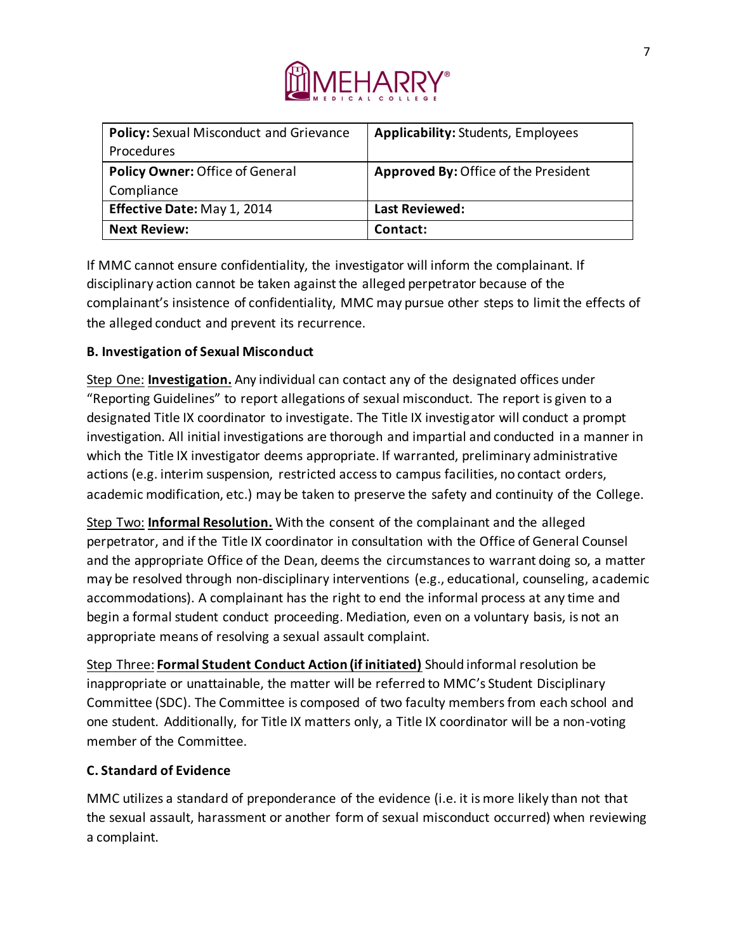

| Policy: Sexual Misconduct and Grievance | <b>Applicability: Students, Employees</b>   |
|-----------------------------------------|---------------------------------------------|
| <b>Procedures</b>                       |                                             |
| Policy Owner: Office of General         | <b>Approved By: Office of the President</b> |
| Compliance                              |                                             |
| Effective Date: May 1, 2014             | <b>Last Reviewed:</b>                       |
| <b>Next Review:</b>                     | Contact:                                    |

If MMC cannot ensure confidentiality, the investigator will inform the complainant. If disciplinary action cannot be taken against the alleged perpetrator because of the complainant's insistence of confidentiality, MMC may pursue other steps to limit the effects of the alleged conduct and prevent its recurrence.

# **B. Investigation of Sexual Misconduct**

Step One: **Investigation.** Any individual can contact any of the designated offices under "Reporting Guidelines" to report allegations of sexual misconduct. The report is given to a designated Title IX coordinator to investigate. The Title IX investigator will conduct a prompt investigation. All initial investigations are thorough and impartial and conducted in a manner in which the Title IX investigator deems appropriate. If warranted, preliminary administrative actions (e.g. interim suspension, restricted access to campus facilities, no contact orders, academic modification, etc.) may be taken to preserve the safety and continuity of the College.

Step Two: **Informal Resolution.** With the consent of the complainant and the alleged perpetrator, and if the Title IX coordinator in consultation with the Office of General Counsel and the appropriate Office of the Dean, deems the circumstances to warrant doing so, a matter may be resolved through non-disciplinary interventions (e.g., educational, counseling, academic accommodations). A complainant has the right to end the informal process at any time and begin a formal student conduct proceeding. Mediation, even on a voluntary basis, is not an appropriate means of resolving a sexual assault complaint.

Step Three: **Formal Student Conduct Action (if initiated)** Should informal resolution be inappropriate or unattainable, the matter will be referred to MMC's Student Disciplinary Committee (SDC). The Committee is composed of two faculty members from each school and one student. Additionally, for Title IX matters only, a Title IX coordinator will be a non-voting member of the Committee.

# **C. Standard of Evidence**

MMC utilizes a standard of preponderance of the evidence (i.e. it is more likely than not that the sexual assault, harassment or another form of sexual misconduct occurred) when reviewing a complaint.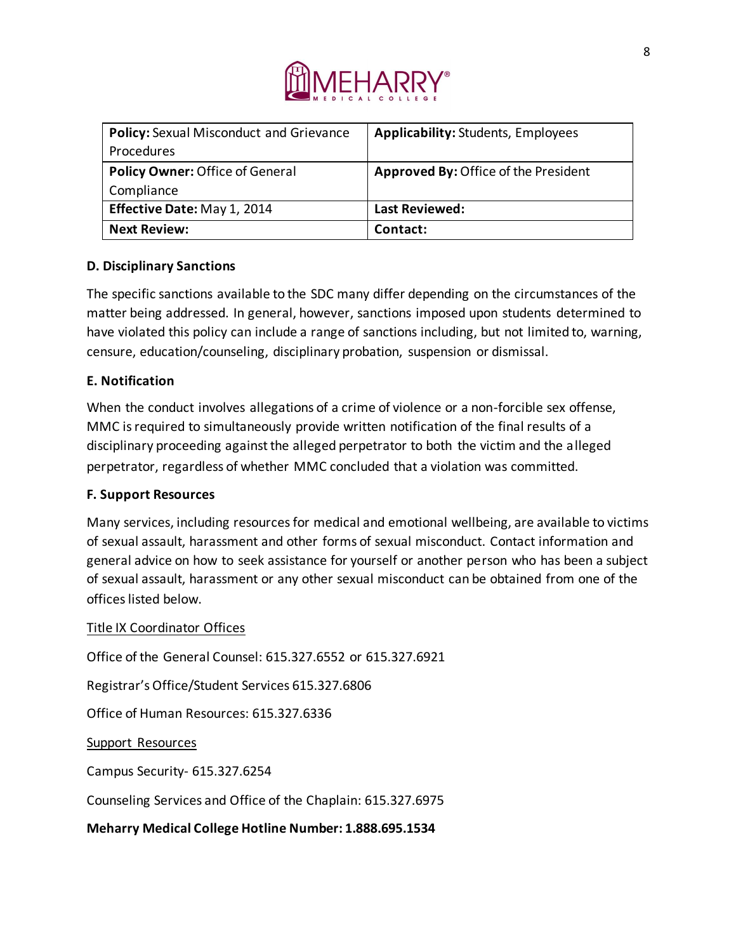

| <b>Policy:</b> Sexual Misconduct and Grievance | <b>Applicability: Students, Employees</b> |
|------------------------------------------------|-------------------------------------------|
| <b>Procedures</b>                              |                                           |
| Policy Owner: Office of General                | Approved By: Office of the President      |
| Compliance                                     |                                           |
| Effective Date: May 1, 2014                    | <b>Last Reviewed:</b>                     |
| <b>Next Review:</b>                            | Contact:                                  |

## **D. Disciplinary Sanctions**

The specific sanctions available to the SDC many differ depending on the circumstances of the matter being addressed. In general, however, sanctions imposed upon students determined to have violated this policy can include a range of sanctions including, but not limited to, warning, censure, education/counseling, disciplinary probation, suspension or dismissal.

### **E. Notification**

When the conduct involves allegations of a crime of violence or a non-forcible sex offense, MMC is required to simultaneously provide written notification of the final results of a disciplinary proceeding against the alleged perpetrator to both the victim and the alleged perpetrator, regardless of whether MMC concluded that a violation was committed.

### **F. Support Resources**

Many services, including resources for medical and emotional wellbeing, are available to victims of sexual assault, harassment and other forms of sexual misconduct. Contact information and general advice on how to seek assistance for yourself or another person who has been a subject of sexual assault, harassment or any other sexual misconduct can be obtained from one of the offices listed below.

### Title IX Coordinator Offices

Office of the General Counsel: 615.327.6552 or 615.327.6921 Registrar's Office/Student Services 615.327.6806 Office of Human Resources: 615.327.6336 Support Resources Campus Security- 615.327.6254 Counseling Services and Office of the Chaplain: 615.327.6975

**Meharry Medical College Hotline Number: 1.888.695.1534**